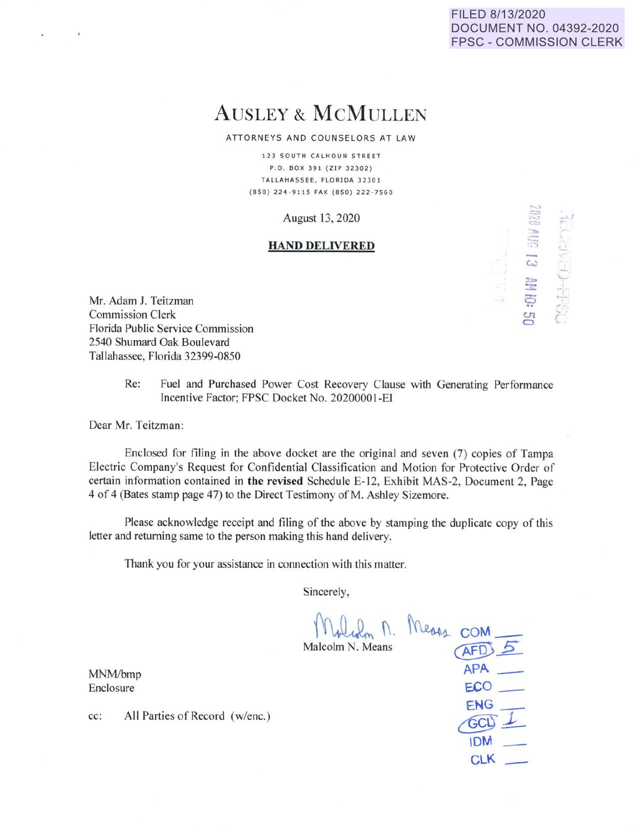## FILED 8/13/2020 DOCUMENT NO. 04392-2020 FPSC - COMMISSION CLERK

=

 $\geq$ 

,.  $\bigcirc$  $\tilde{\epsilon}$ '

**w**  *:* 

*u,*  **0** 

**APA** - e.co\_

**IDM** - **CLK** -

 $ENG =$ 

# AUSLEY & McMULLEN

ATTORNEYS AND COUNSELORS AT LAW

123 SOUTH CALHOUN STREET P.O . BOX 391 (ZIP 32302) TALLAHASSEE, FLORIDA 32301 (850) 224-9115 FAX (850) 222 - 7560

August 13, 2020

#### **HAND DELIVERED**

Mr. Adam J. Teitzman Commission Clerk Florida Public Service Commission 2540 Shumard Oak Boulevard Tallahassee, Florida 32399-0850

> Re: Fuel and Purchased Power Cost Recovery Clause with Generating Performance Incentive Factor; FPSC Docket No. 20200001-EI

Dear Mr. Teitzman:

 $\alpha$ 

Enclosed for filing in the above docket are the original and seven (7) copies of Tampa Electric Company's Request for Confidential Classification and Motion for Protective Order of certain information contained in **the revised** Schedule E-12, Exhibit MAS-2, Document 2, Page 4 of 4 (Bates stamp page 47) to the Direct Testimony of M. Ashley Sizemore.

Please acknowledge receipt and filing of the above by stamping the duplicate copy of this letter and returning same to the person making this hand delivery.

Thank you for your assistance in connection with this matter.

Sincerely,

 $$$  Malcolm N. Means **COM**<br>Malcolm N. Means *AFD* 

MNM/bmp Enclosure

**cc:** All Parties of Record (w/enc.)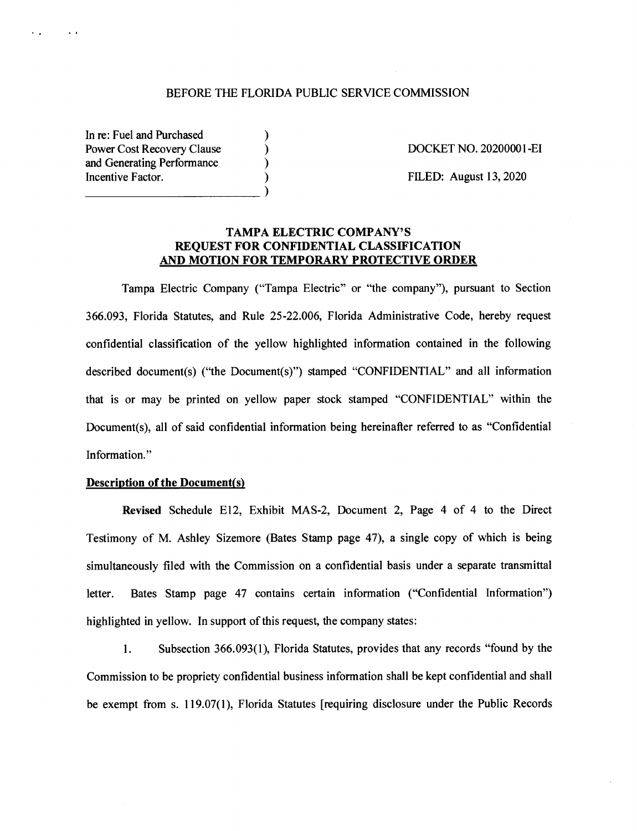## BEFORE THE FLORIDA PUBLIC SERVICE COMMISSION

) ) ) )

In re: Fuel and Purchased Power Cost Recovery Clause and Generating Performance Incentive Factor.  $\Box$ 

 $\mathbf{r}$  .

 $\lambda=0$ 

DOCKET NO. 2020000 I-EI

FILED: August 13, 2020

## **TAMPA ELECTRIC COMPANY'S REQUEST FOR CONFIDENTIAL CLASSIFICATION AND MOTION FOR TEMPORARY PROTECTIVE ORDER**

Tampa Electric Company ("Tampa Electric" or "the company"), pursuant to Section 366.093, Florida Statutes, and Rule 25-22.006, Florida Administrative Code, hereby request confidential classification of the yellow highlighted information contained in the following described document(s) ("the Document(s)") stamped "CONFIDENTIAL" and all information that is or may be printed on yellow paper stock stamped "CONFIDENTIAL" within the Document(s), all of said confidential information being hereinafter referred to as "Confidential Information."

#### **Description of the Document{s)**

**Revised** Schedule El2, Exhibit MAS-2, Document 2, Page 4 of 4 to the Direct Testimony of M. Ashley Sizemore (Bates Stamp page 47), a single copy of which is being simultaneously filed with the Commission on a confidential basis under a separate transmittal letter. Bates Stamp page 47 contains certain information ("Confidential Information") highlighted in yellow. In support of this request, the company states:

1. Subsection 366.093(1), Florida Statutes, provides that any records "found by the Commission to be propriety confidential business information shall be kept confidential and shall be exempt from s. 119.07(1), Florida Statutes [requiring disclosure under the Public Records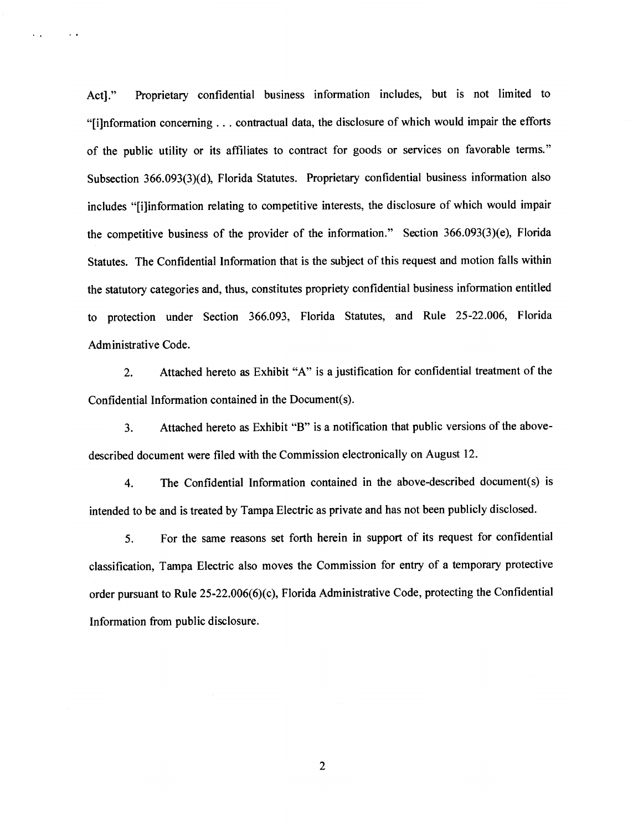Act]." Proprietary confidential business information includes, but is not limited to "[i]nformation concerning ... contractual data, the disclosure of which would impair the efforts of the public utility or its affiliates to contract for goods or services on favorable terms." Subsection 366.093(3)(d), Florida Statutes. Proprietary confidential business information also includes "[i]information relating to competitive interests, the disclosure of which would impair the competitive business of the provider of the information." Section 366.093(3)(e), Florida Statutes. The Confidential Information that is the subject of this request and motion falls within the statutory categories and, thus, constitutes propriety confidential business information entitled to protection under Section 366.093, Florida Statutes, and Rule 25-22.006, Florida Administrative Code.

 $\mathbf{r}=\mathbf{r}$ 

 $\epsilon$  .  $\epsilon$ 

2. Attached hereto as Exhibit "A" is a justification for confidential treatment of the Confidential Information contained in the Document(s).

3. Attached hereto as Exhibit "B" is a notification that public versions of the abovedescribed document were filed with the Commission electronically on August 12.

4. The Confidential Information contained in the above-described document(s) is intended to be and is treated by Tampa Electric as private and has not been publicly disclosed.

5. For the same reasons set forth herein in support of its request for confidential classification, Tampa Electric also moves the Commission for entry of a temporary protective order pursuant to Rule 25-22.006(6)(c), Florida Administrative Code, protecting the Confidential Information from public disclosure.

2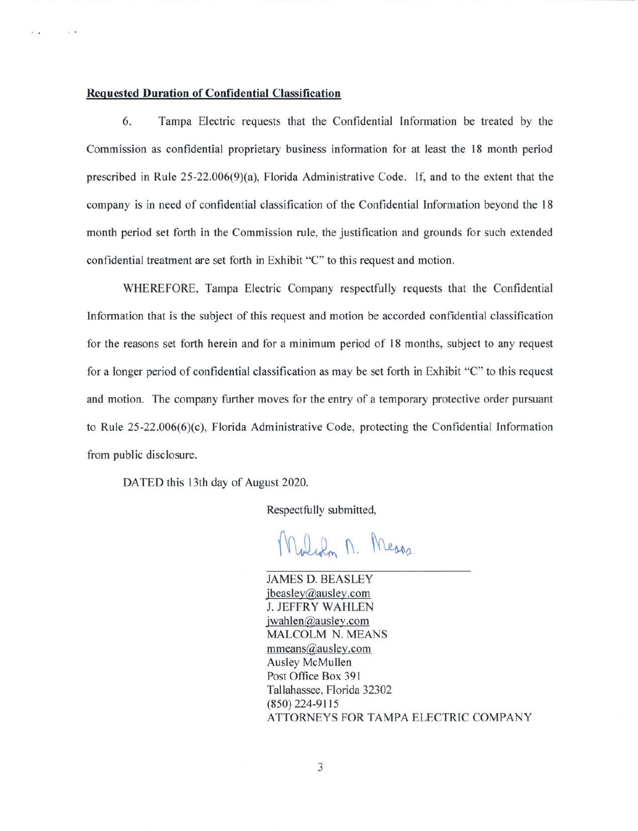#### **Requested Duration of Confidential Classification**

 $\mathbf{v}$  .

 $\sim$ 

6. Tampa Electric requests that the Confidential Information be treated by the Commission as confidential proprietary business information for at least the 18 month period prescribed in Rule 25-22.006(9)(a), Florida Administrative Code. If, and to the extent that the company is in need of confidential classification of the Confidential Information beyond the 18 month period set forth in the Commission rule, the justification and grounds for such extended confidential treatment are set forth in Exhibit "C" to this request and motion.

WHEREFORE, Tampa Electric Company respectfully requests that the Confidential Information that is the subject of this request and motion be accorded confidential classification for the reasons set forth herein and for a minimum period of 18 months, subject to any request for a longer period of confidential classification as may be set forth in Exhibit "C" to this request and motion. The company further moves for the entry of a temporary protective order pursuant to Rule  $25-22.006(6)(c)$ , Florida Administrative Code, protecting the Confidential Information from public disclosure.

DATED this 13th day of August 2020.

Respectfully submitted,

Weden M. Means

JAMES D. BEASLEY jbeasley@ausley.com J. JEFFRY WAHLEN jwahlen@ausley.com MALCOLM N. MEANS mmeans@ausley.com Ausley McMullen Post Office Box 391 Tallahassee, Florida 32302 (850) 224-91 15 ATTORNEYS FOR TAMPA ELECTRIC COMPANY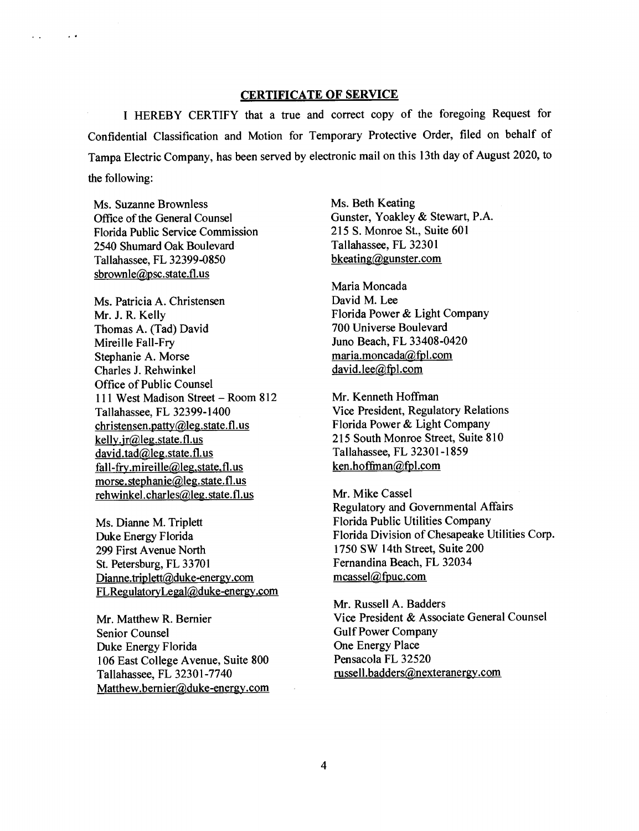## **CERTIFICATE OF SERVICE**

I HEREBY CERTIFY that a true and correct copy of the foregoing Request for Confidential Classification and Motion for Temporary Protective Order, filed on behalf of Tampa Electric Company, has been served by electronic mail on this 13th day of August 2020, to the following:

Ms. Suzanne Brownless Office of the General Counsel Florida Public Service Commission 2540 Shumard Oak Boulevard Tallahassee, FL 32399-0850 sbrownle@psc.state.fl.us

 $\sim$   $\sim$ 

 $\mathbf{r}$ 

Ms. Patricia A. Christensen Mr. J. R. Kelly Thomas A. (Tad) David Mireille Fall-Fry Stephanie A. Morse Charles J. Rehwinkel Office of Public Counsel 111 West Madison Street - Room 812 Tallahassee, FL 32399-1400 christensen. patty@leg.state. fl.us kelly.jr@leg.state.fl.us david.tad@leg.state.fl.us fall-fry.mireille@leg.state.fl.us morse.stephanie@leg.state.fl.us rehwinkel.charles@leg.state.fl.us

Ms. Dianne M. Triplett Duke Energy Florida 299 First Avenue North St. Petersburg, FL 33701 Dianne.triplett@duke-energy.com FLRegulatoryLegal@duke-energy.com

Mr. Matthew R. Bernier Senior Counsel Duke Energy Florida 106 East College A venue, Suite 800 Tallahassee, FL 32301-7740 Matthew.bernier@duke-energy.com Ms. Beth Keating Gunster, Yoakley & Stewart, P.A. 215 S. Monroe St., Suite 601 Tallahassee, FL 32301 bkeating@gunster.com

Maria Moncada David M. Lee Florida Power & Light Company 700 Universe Boulevard Juno Beach, FL 33408-0420 maria.moncada@fpl.com david.lee@fpl.com

Mr. Kenneth Hoffman Vice President, Regulatory Relations Florida Power & Light Company 215 South Monroe Street, Suite 810 Tallahassee, FL 32301-1859 ken.hoffinan@fpl.com

Mr. Mike Cassel Regulatory and Governmental Affairs Florida Public Utilities Company Florida Division of Chesapeake Utilities Corp. 1750 SW 14th Street, Suite 200 Fernandina Beach, FL 32034 mcassel@fpuc.com

Mr. Russell A. Badders Vice President & Associate General Counsel Gulf Power Company One Energy Place Pensacola FL 32520 russell.badders@nexteranergy.com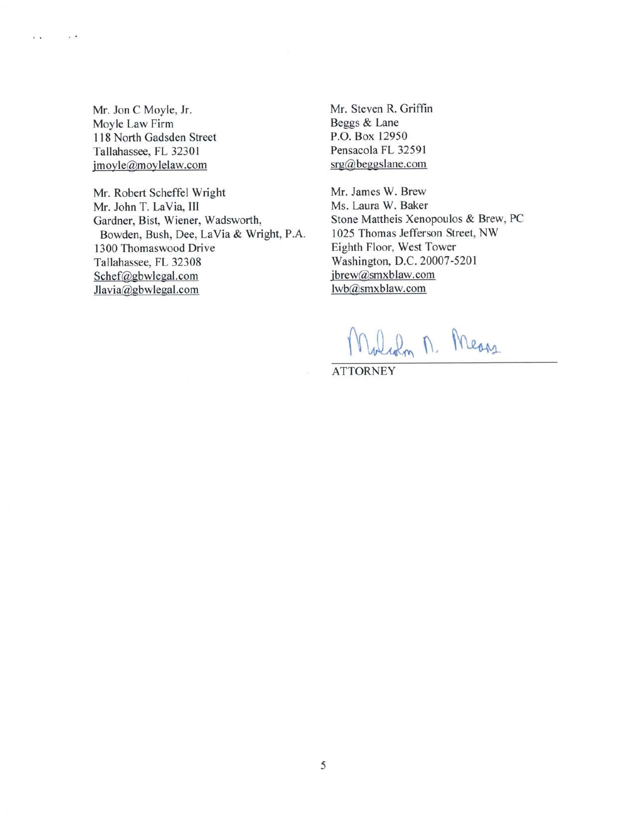Mr. Jon C Moyle, Jr. Moyle Law Firm I 18 North Gadsden Street Tallahassee, FL 3230 I jmoyle@moylelaw.com

 $\sim$   $^{\circ}$ 

 $\mathbf{r}$ 

Mr. Robert Scheffel Wright Mr. John T. LaVia, III Gardner, Bist, Wiener, Wadsworth, Bowden, Bush, Dee, La Via & Wright, P.A. 1300 Thomaswood Drive Tallahassee, FL 32308 Schef@gbwlegal.com Jlavia@gbwlegal.com

Mr. Steven R. Griffin Beggs & Lane P.O. Box 12950 Pensacola FL 32591 srg@beggslane.com

Mr. James W. Brew Ms. Laura W. Baker Stone Mattheis Xenopoulos & Brew, PC l 025 Thomas Jefferson Street, NW Eighth Floor, West Tower Washington, D.C. 20007-5201 jbrew@smxblaw.com lwb@smxblaw.com

Widon M. Means

**ATTORNEY**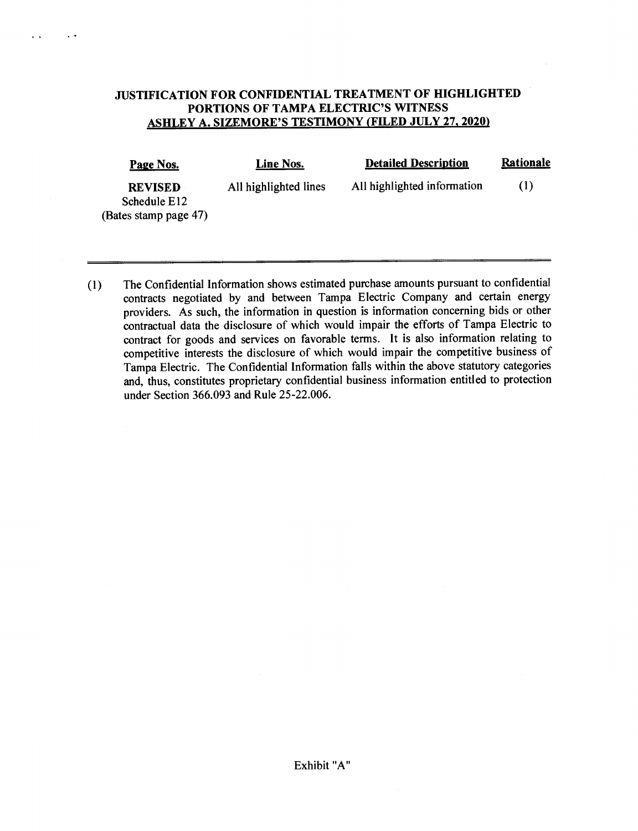# **JUSTIFICATION FOR CONFIDENTIAL TREATMENT OF HIGHLIGHTED PORTIONS OF TAMPA ELECTRIC'S WITNESS ASHLEY A. SIZEMORE'S TESTIMONY (FILED JULY 27, 2020)**

 $\ddot{\phantom{0}}$ 

 $\ddot{\phantom{0}}$ 

| Page Nos.                                               | <b>Line Nos.</b>      | <b>Detailed Description</b> | <b>Rationale</b> |
|---------------------------------------------------------|-----------------------|-----------------------------|------------------|
| <b>REVISED</b><br>Schedule E12<br>(Bates stamp page 47) | All highlighted lines | All highlighted information | (1)              |

(1) The Confidential Information shows estimated purchase amounts pursuant to confidential contracts negotiated by and between Tampa Electric Company and certain energy providers. As such, the information in question is information concerning bids or other contractual data the disclosure of which would impair the efforts of Tampa Electric to contract for goods and services on favorable terms. It is also information relating to competitive interests the disclosure of which would impair the competitive business of Tampa Electric. The Confidential Information falls within the above statutory categories and, thus, constitutes proprietary confidential business information entitled to protection under Section 366.093 and Rule 25-22.006.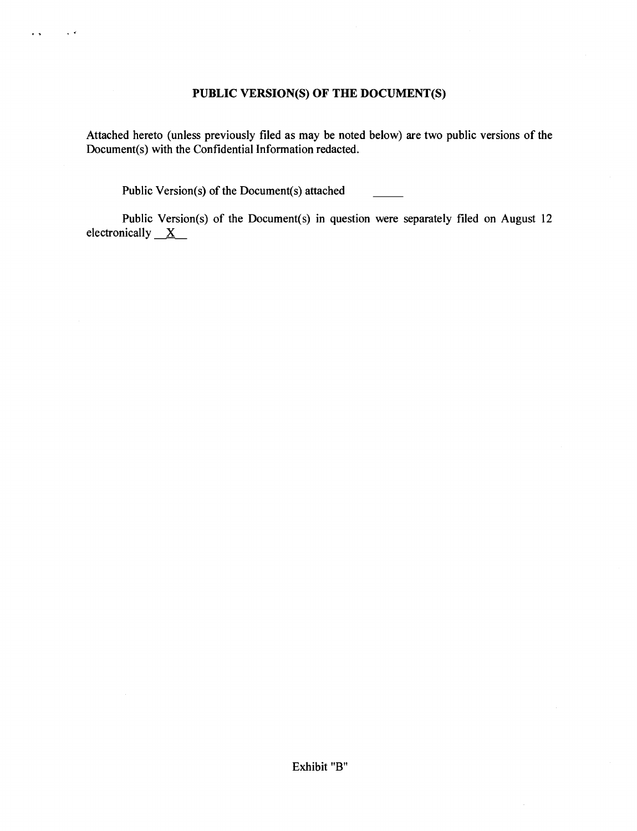# **PUBLIC VERSION(S) OF THE DOCUMENT(S)**

Attached hereto (unless previously filed as may be noted below) are two public versions of the Document(s) with the Confidential Information redacted.

Public Version(s) of the Document(s) attached

..

 $\ddot{\phantom{1}}$ 

Public Version(s) of the Document(s) in question were separately filed on August 12 electronically  $X$